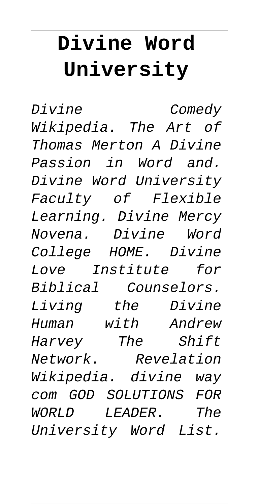# **Divine Word University**

Divine Comedy Wikipedia. The Art of Thomas Merton A Divine Passion in Word and. Divine Word University Faculty of Flexible Learning. Divine Mercy Novena. Divine Word College HOME. Divine Love Institute for Biblical Counselors. Living the Divine Human with Andrew Harvey The Shift Network. Revelation Wikipedia. divine way com GOD SOLUTIONS FOR WORLD LEADER. The University Word List.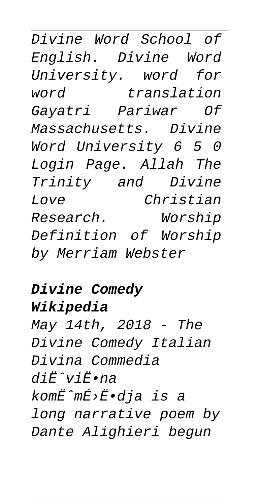Divine Word School of English. Divine Word University. word for word translation Gayatri Pariwar Of Massachusetts. Divine Word University 6 5 0 Login Page. Allah The Trinity and Divine Love Christian Research. Worship Definition of Worship by Merriam Webster

### **Divine Comedy**

### **Wikipedia**

May 14th, 2018 - The Divine Comedy Italian Divina Commedia  $di\ddot{E}^{\prime}$ vi $\ddot{E}$ •na komË^mÉ>Ë•dja is a long narrative poem by Dante Alighieri begun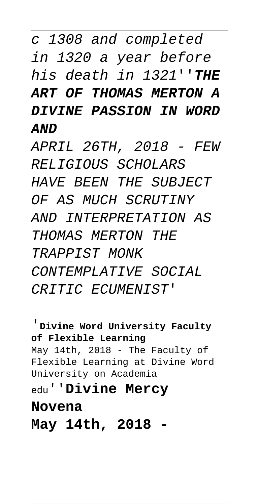c 1308 and completed in 1320 a year before his death in 1321''**THE ART OF THOMAS MERTON A DIVINE PASSION IN WORD AND**

APRIL 26TH, 2018 - FEW RELIGIOUS SCHOLARS HAVE BEEN THE SUBJECT OF AS MUCH SCRUTINY AND INTERPRETATION AS THOMAS MERTON THE TRAPPIST MONK CONTEMPLATIVE SOCIAL CRITIC ECUMENIST'

'**Divine Word University Faculty of Flexible Learning** May 14th, 2018 - The Faculty of Flexible Learning at Divine Word University on Academia edu''**Divine Mercy Novena**

**May 14th, 2018 -**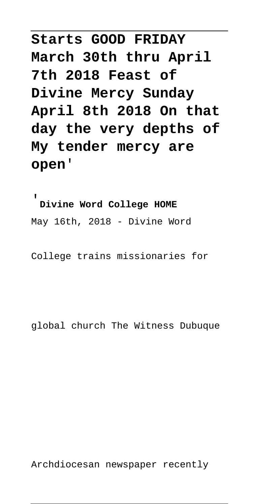**Starts GOOD FRIDAY March 30th thru April 7th 2018 Feast of Divine Mercy Sunday April 8th 2018 On that day the very depths of My tender mercy are open**'

'**Divine Word College HOME** May 16th, 2018 - Divine Word

College trains missionaries for

global church The Witness Dubuque

Archdiocesan newspaper recently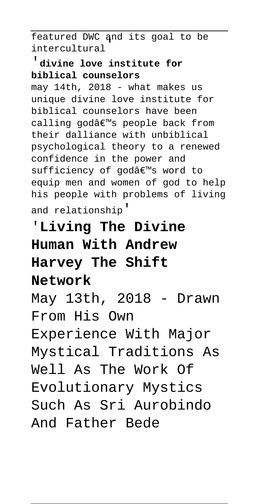featured DWC and its goal to be intercultural'

#### '**divine love institute for biblical counselors**

may 14th, 2018 - what makes us unique divine love institute for biblical counselors have been calling god's people back from their dalliance with unbiblical psychological theory to a renewed confidence in the power and sufficiency of godâ€<sup>™</sup>s word to equip men and women of god to help his people with problems of living and relationship'

# '**Living The Divine Human With Andrew Harvey The Shift Network**

May 13th, 2018 - Drawn From His Own Experience With Major Mystical Traditions As Well As The Work Of Evolutionary Mystics Such As Sri Aurobindo And Father Bede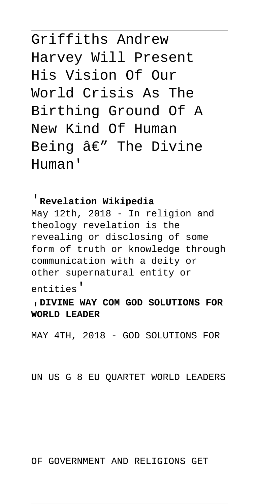Griffiths Andrew Harvey Will Present His Vision Of Our World Crisis As The Birthing Ground Of A New Kind Of Human Being  $\hat{a}\in$ " The Divine Human'

'**Revelation Wikipedia** May 12th, 2018 - In religion and theology revelation is the revealing or disclosing of some form of truth or knowledge through communication with a deity or other supernatural entity or entities'

'**DIVINE WAY COM GOD SOLUTIONS FOR WORLD LEADER**

MAY 4TH, 2018 - GOD SOLUTIONS FOR

UN US G 8 EU QUARTET WORLD LEADERS

OF GOVERNMENT AND RELIGIONS GET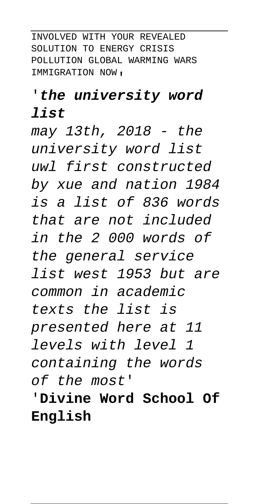INVOLVED WITH YOUR REVEALED SOLUTION TO ENERGY CRISIS POLLUTION GLOBAL WARMING WARS IMMIGRATION NOW'

## '**the university word**

#### **list**

may 13th, 2018 - the university word list uwl first constructed by xue and nation 1984 is a list of 836 words that are not included in the 2 000 words of the general service list west 1953 but are common in academic texts the list is presented here at 11 levels with level 1 containing the words of the most'

'**Divine Word School Of English**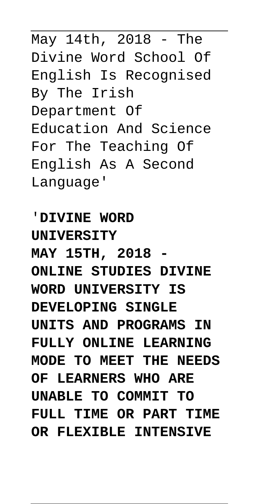May 14th, 2018 - The Divine Word School Of English Is Recognised By The Irish Department Of Education And Science For The Teaching Of English As A Second Language'

'**DIVINE WORD UNIVERSITY MAY 15TH, 2018 - ONLINE STUDIES DIVINE WORD UNIVERSITY IS DEVELOPING SINGLE UNITS AND PROGRAMS IN FULLY ONLINE LEARNING MODE TO MEET THE NEEDS OF LEARNERS WHO ARE UNABLE TO COMMIT TO FULL TIME OR PART TIME OR FLEXIBLE INTENSIVE**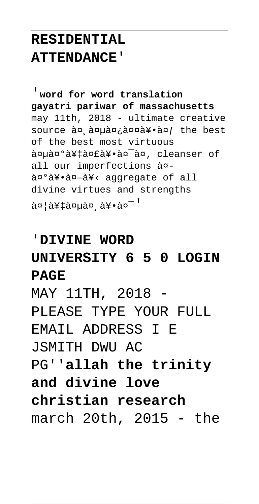## **RESIDENTIAL ATTENDANCE**'

'**word for word translation gayatri pariwar of massachusetts** may 11th, 2018 - ultimate creative source an anuan; annay.anf the best of the best most virtuous aguagoa¥tagfa¥.ag<sup>-</sup>ag, cleanser of all our imperfections à¤ anºa¥.an-a¥< aggregate of all divine virtues and strengths agla¥taguag a¥.ag-'

#### '**DIVINE WORD**

## **UNIVERSITY 6 5 0 LOGIN PAGE**

MAY 11TH, 2018 - PLEASE TYPE YOUR FULL EMAIL ADDRESS I E JSMITH DWU AC PG''**allah the trinity and divine love christian research** march 20th, 2015 - the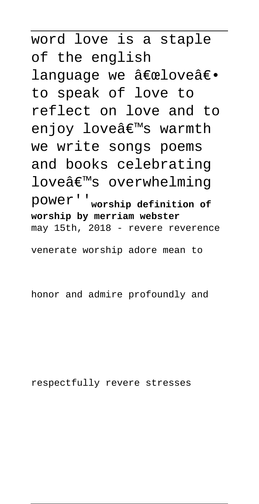word love is a staple of the english lanquaqe we "loveâ€. to speak of love to reflect on love and to enjoy love's warmth we write songs poems and books celebrating loveâ€<sup>™</sup>s overwhelming power''**worship definition of worship by merriam webster** may 15th, 2018 - revere reverence

venerate worship adore mean to

honor and admire profoundly and

respectfully revere stresses